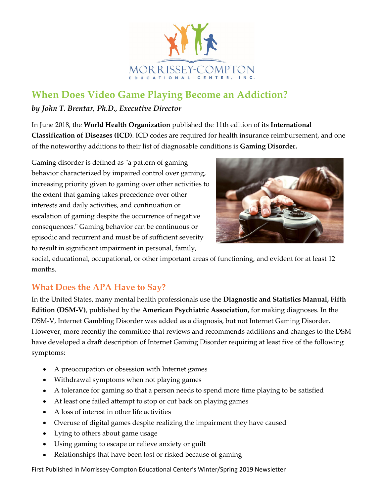

# **When Does Video Game Playing Become an Addiction?**

#### *by John T. Brentar, Ph.D., Executive Director*

In June 2018, the **World Health Organization** published the 11th edition of its **International Classification of Diseases (ICD)**. ICD codes are required for health insurance reimbursement, and one of the noteworthy additions to their list of diagnosable conditions is **Gaming Disorder.**

Gaming disorder is defined as "a pattern of gaming behavior characterized by impaired control over gaming, increasing priority given to gaming over other activities to the extent that gaming takes precedence over other interests and daily activities, and continuation or escalation of gaming despite the occurrence of negative consequences." Gaming behavior can be continuous or episodic and recurrent and must be of sufficient severity to result in significant impairment in personal, family,



social, educational, occupational, or other important areas of functioning, and evident for at least 12 months.

### **What Does the APA Have to Say?**

In the United States, many mental health professionals use the **Diagnostic and Statistics Manual, Fifth Edition (DSM-V)**, published by the **American Psychiatric Association,** for making diagnoses. In the DSM-V, Internet Gambling Disorder was added as a diagnosis, but not Internet Gaming Disorder. However, more recently the committee that reviews and recommends additions and changes to the DSM have developed a draft description of Internet Gaming Disorder requiring at least five of the following symptoms:

- A preoccupation or obsession with Internet games
- Withdrawal symptoms when not playing games
- A tolerance for gaming so that a person needs to spend more time playing to be satisfied
- At least one failed attempt to stop or cut back on playing games
- A loss of interest in other life activities
- Overuse of digital games despite realizing the impairment they have caused
- Lying to others about game usage
- Using gaming to escape or relieve anxiety or guilt
- Relationships that have been lost or risked because of gaming

First Published in Morrissey-Compton Educational Center's Winter/Spring 2019 Newsletter